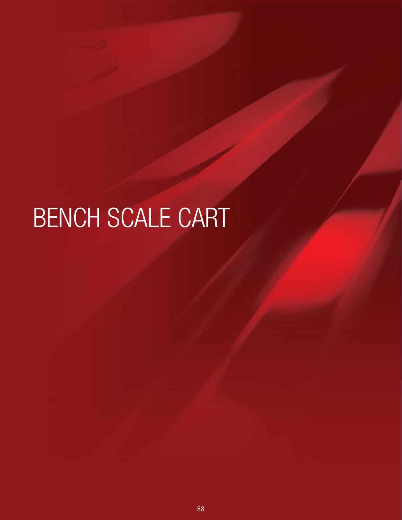# BENCH SCALE CART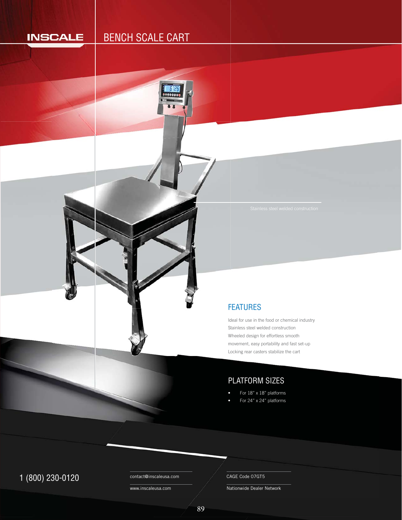## **INSCALE**

# BENCH SCALE CART



Ideal for use in the food or chemical industry Stainless steel welded construction St Wheeled design for effortless smooth W movement, easy portability and fast set-up m Locking rear casters stabilize the cart Lo

## PLATFORM SIZES

- For 18" x 18" platforms
- For 24" x 24" platforms

# 1 (800) 230-0120 Contact@inscaleusa.com CAGE Code 07GT5

contact@inscaleusa.com

www.inscaleusa.com

Nationwide Dealer Network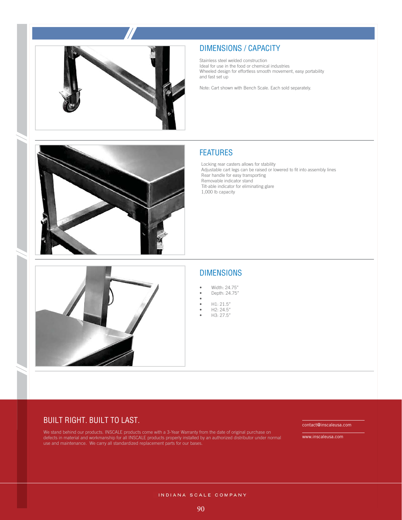



Stainless steel welded construction Ideal for use in the food or chemical industries Wheeled design for effortless smooth movement, easy portability and fast set up

Note: Cart shown with Bench Scale. Each sold separately.

### FEATURES

Locking rear casters allows for stability Adjustable cart legs can be raised or lowered to fit into assembly lines Rear handle for easy transporting Removable indicator stand Tilt-able indicator for eliminating glare 1,000 lb capacity



#### DIMENSIONS

- Width: 24.75" • Depth: 24.75"
- •
- H1: 21.5"
- H2: 24.5"
- H3: 27.5"

#### BUILT RIGHT. BUILT TO LAST.

We stand behind our products. INSCALE products come with a 3-Year Warranty from the date of original purchase on defects in material and workmanship for all INSCALE products properly installed by an authorized distributor under normal use and maintenance. We carry all standardized replacement parts for our bases.

contact@inscaleusa.com

www.inscaleusa.com

INDIANA SCALE COMPANY